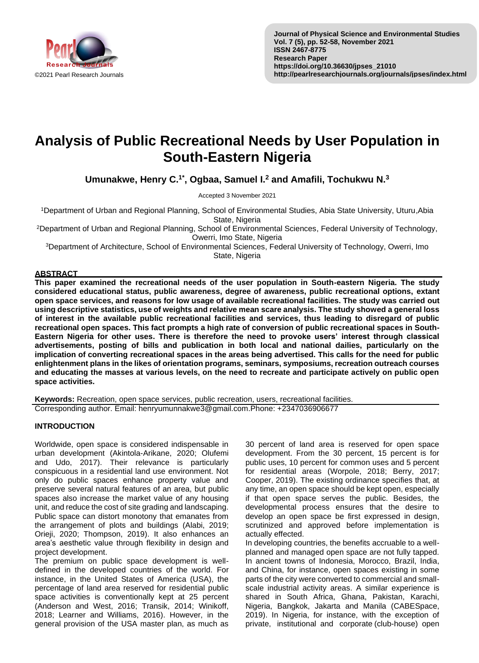

# **Analysis of Public Recreational Needs by User Population in South-Eastern Nigeria**

**Umunakwe, Henry C.1\* , Ogbaa, Samuel I.<sup>2</sup> and Amafili, Tochukwu N.<sup>3</sup>**

Accepted 3 November 2021

<sup>1</sup>Department of Urban and Regional Planning, School of Environmental Studies, Abia State University, Uturu,Abia State, Nigeria

<sup>2</sup>Department of Urban and Regional Planning, School of Environmental Sciences, Federal University of Technology, Owerri, Imo State, Nigeria

<sup>3</sup>Department of Architecture, School of Environmental Sciences, Federal University of Technology, Owerri, Imo State, Nigeria

## **ABSTRACT**

**This paper examined the recreational needs of the user population in South-eastern Nigeria. The study considered educational status, public awareness, degree of awareness, public recreational options, extant open space services, and reasons for low usage of available recreational facilities. The study was carried out using descriptive statistics, use of weights and relative mean scare analysis. The study showed a general loss of interest in the available public recreational facilities and services, thus leading to disregard of public recreational open spaces. This fact prompts a high rate of conversion of public recreational spaces in South-Eastern Nigeria for other uses. There is therefore the need to provoke users' interest through classical advertisements, posting of bills and publication in both local and national dailies, particularly on the implication of converting recreational spaces in the areas being advertised. This calls for the need for public enlightenment plans in the likes of orientation programs, seminars, symposiums, recreation outreach courses and educating the masses at various levels, on the need to recreate and participate actively on public open space activities.**

**Keywords:** Recreation, open space services, public recreation, users, recreational facilities. Corresponding author. Email: henryumunnakwe3@gmail.com.Phone: +2347036906677

## **INTRODUCTION**

Worldwide, open space is considered indispensable in urban development (Akintola-Arikane, 2020; Olufemi and Udo, 2017). Their relevance is particularly conspicuous in a residential land use environment. Not only do public spaces enhance property value and preserve several natural features of an area, but public spaces also increase the market value of any housing unit, and reduce the cost of site grading and landscaping. Public space can distort monotony that emanates from the arrangement of plots and buildings (Alabi, 2019; Orieji, 2020; Thompson, 2019). It also enhances an area's aesthetic value through flexibility in design and project development.

The premium on public space development is welldefined in the developed countries of the world. For instance, in the United States of America (USA), the percentage of land area reserved for residential public space activities is conventionally kept at 25 percent (Anderson and West, 2016; Transik, 2014; Winikoff, 2018; Learner and Williams, 2016). However, in the general provision of the USA master plan, as much as

30 percent of land area is reserved for open space development. From the 30 percent, 15 percent is for public uses, 10 percent for common uses and 5 percent for residential areas (Worpole, 2018; Berry, 2017; Cooper, 2019). The existing ordinance specifies that, at any time, an open space should be kept open, especially if that open space serves the public. Besides, the developmental process ensures that the desire to develop an open space be first expressed in design, scrutinized and approved before implementation is actually effected.

In developing countries, the benefits accruable to a wellplanned and managed open space are not fully tapped. In ancient towns of Indonesia, Morocco, Brazil, India, and China, for instance, open spaces existing in some parts of the city were converted to commercial and smallscale industrial activity areas. A similar experience is shared in South Africa, Ghana, Pakistan, Karachi, Nigeria, Bangkok, Jakarta and Manila (CABESpace, 2019). In Nigeria, for instance, with the exception of private, institutional and corporate (club-house) open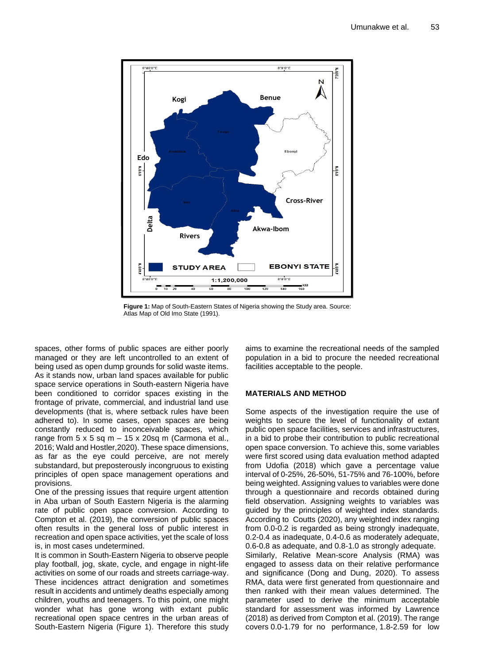

**Figure 1:** Map of South-Eastern States of Nigeria showing the Study area. Source: Atlas Map of Old Imo State (1991).

spaces, other forms of public spaces are either poorly managed or they are left uncontrolled to an extent of being used as open dump grounds for solid waste items. As it stands now, urban land spaces available for public space service operations in South-eastern Nigeria have been conditioned to corridor spaces existing in the frontage of private, commercial, and industrial land use developments (that is, where setback rules have been adhered to). In some cases, open spaces are being constantly reduced to inconceivable spaces, which range from  $5 \times 5$  sq m  $- 15 \times 20$ sq m (Carmona et al., 2016; Wald and Hostler,2020). These space dimensions, as far as the eye could perceive, are not merely substandard, but preposterously incongruous to existing principles of open space management operations and provisions.

One of the pressing issues that require urgent attention in Aba urban of South Eastern Nigeria is the alarming rate of public open space conversion. According to Compton et al. (2019), the conversion of public spaces often results in the general loss of public interest in recreation and open space activities, yet the scale of loss is, in most cases undetermined.

It is common in South-Eastern Nigeria to observe people play football, jog, skate, cycle, and engage in night-life activities on some of our roads and streets carriage-way. These incidences attract denigration and sometimes result in accidents and untimely deaths especially among children, youths and teenagers. To this point, one might wonder what has gone wrong with extant public recreational open space centres in the urban areas of South-Eastern Nigeria (Figure 1). Therefore this study

aims to examine the recreational needs of the sampled population in a bid to procure the needed recreational facilities acceptable to the people.

## **MATERIALS AND METHOD**

Some aspects of the investigation require the use of weights to secure the level of functionality of extant public open space facilities, services and infrastructures, in a bid to probe their contribution to public recreational open space conversion. To achieve this, some variables were first scored using data evaluation method adapted from Udofia (2018) which gave a percentage value interval of 0-25%, 26-50%, 51-75% and 76-100%, before being weighted. Assigning values to variables were done through a questionnaire and records obtained during field observation. Assigning weights to variables was guided by the principles of weighted index standards. According to Coutts (2020), any weighted index ranging from 0.0-0.2 is regarded as being strongly inadequate, 0.2-0.4 as inadequate, 0.4-0.6 as moderately adequate, 0.6-0.8 as adequate, and 0.8-1.0 as strongly adequate. Similarly, Relative Mean-score Analysis (RMA) was engaged to assess data on their relative performance and significance (Dong and Dung, 2020). To assess RMA, data were first generated from questionnaire and then ranked with their mean values determined. The parameter used to derive the minimum acceptable standard for assessment was informed by Lawrence (2018) as derived from Compton et al. (2019). The range covers 0.0-1.79 for no performance, 1.8-2.59 for low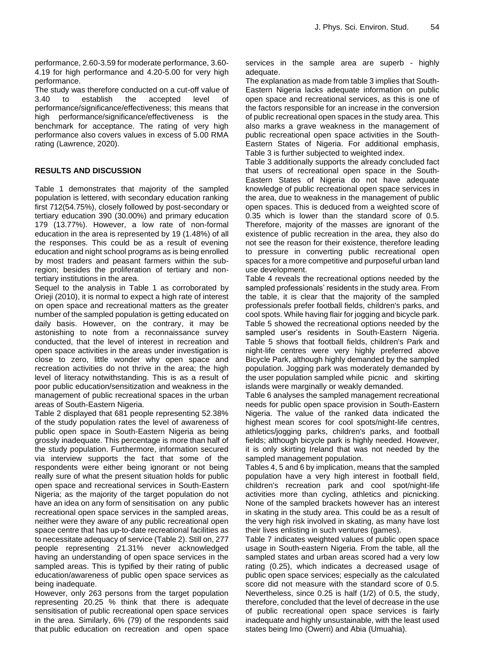performance, 2.60-3.59 for moderate performance, 3.60- 4.19 for high performance and 4.20-5.00 for very high performance.

The study was therefore conducted on a cut-off value of 3.40 to establish the accepted level of performance/significance/effectiveness; this means that high performance/significance/effectiveness is the benchmark for acceptance. The rating of very high performance also covers values in excess of 5.00 RMA rating (Lawrence, 2020).

## **RESULTS AND DISCUSSION**

Table 1 demonstrates that majority of the sampled population is lettered, with secondary education ranking first 712(54.75%), closely followed by post-secondary or tertiary education 390 (30.00%) and primary education 179 (13.77%). However, a low rate of non-formal education in the area is represented by 19 (1.48%) of all the responses. This could be as a result of evening education and night school programs as is being enrolled by most traders and peasant farmers within the subregion; besides the proliferation of tertiary and nontertiary institutions in the area.

Sequel to the analysis in Table 1 as corroborated by Orieji (2010), it is normal to expect a high rate of interest on open space and recreational matters as the greater number of the sampled population is getting educated on daily basis. However, on the contrary, it may be astonishing to note from a reconnaissance survey conducted, that the level of interest in recreation and open space activities in the areas under investigation is close to zero, little wonder why open space and recreation activities do not thrive in the area; the high level of literacy notwithstanding. This is as a result of poor public education/sensitization and weakness in the management of public recreational spaces in the urban areas of South-Eastern Nigeria.

Table 2 displayed that 681 people representing 52.38% of the study population rates the level of awareness of public open space in South-Eastern Nigeria as being grossly inadequate. This percentage is more than half of the study population. Furthermore, information secured via interview supports the fact that some of the respondents were either being ignorant or not being really sure of what the present situation holds for public open space and recreational services in South-Eastern Nigeria; as the majority of the target population do not have an idea on any form of sensitisation on any public recreational open space services in the sampled areas, neither were they aware of any public recreational open space centre that has up-to-date recreational facilities as to necessitate adequacy of service (Table 2). Still on, 277 people representing 21.31% never acknowledged having an understanding of open space services in the sampled areas. This is typified by their rating of public education/awareness of public open space services as being inadequate.

However, only 263 persons from the target population representing 20.25 % think that there is adequate sensitisation of public recreational open space services in the area. Similarly, 6% (79) of the respondents said that public education on recreation and open space services in the sample area are superb - highly adequate.

The explanation as made from table 3 implies that South-Eastern Nigeria lacks adequate information on public open space and recreational services, as this is one of the factors responsible for an increase in the conversion of public recreational open spaces in the study area. This also marks a grave weakness in the management of public recreational open space activities in the South-Eastern States of Nigeria. For additional emphasis, Table 3 is further subjected to weighted index.

Table 3 additionally supports the already concluded fact that users of recreational open space in the South-Eastern States of Nigeria do not have adequate knowledge of public recreational open space services in the area, due to weakness in the management of public open spaces. This is deduced from a weighted score of 0.35 which is lower than the standard score of 0.5. Therefore, majority of the masses are ignorant of the existence of public recreation in the area, they also do not see the reason for their existence, therefore leading to pressure in converting public recreational open spaces for a more competitive and purposeful urban land use development.

Table 4 reveals the recreational options needed by the sampled professionals' residents in the study area. From the table, it is clear that the majority of the sampled professionals prefer football fields, children's parks, and cool spots. While having flair for jogging and bicycle park. Table 5 showed the recreational options needed by the sampled user's residents in South-Eastern Nigeria. Table 5 shows that football fields, children's Park and night-life centres were very highly preferred above Bicycle Park, although highly demanded by the sampled population. Jogging park was moderately demanded by the user population sampled while picnic and skirting islands were marginally or weakly demanded.

Table 6 analyses the sampled management recreational needs for public open space provision in South-Eastern Nigeria. The value of the ranked data indicated the highest mean scores for cool spots/night-life centres, athletics/jogging parks, children's parks, and football fields; although bicycle park is highly needed. However, it is only skirting Ireland that was not needed by the sampled management population.

Tables 4, 5 and 6 by implication, means that the sampled population have a very high interest in football field, children's recreation park and cool spot/night-life activities more than cycling, athletics and picnicking. None of the sampled brackets however has an interest in skating in the study area. This could be as a result of the very high risk involved in skating, as many have lost their lives enlisting in such ventures (games).

Table 7 indicates weighted values of public open space usage in South-eastern Nigeria. From the table, all the sampled states and urban areas scored had a very low rating (0.25), which indicates a decreased usage of public open space services; especially as the calculated score did not measure with the standard score of 0.5. Nevertheless, since 0.25 is half (1/2) of 0.5, the study, therefore, concluded that the level of decrease in the use of public recreational open space services is fairly inadequate and highly unsustainable, with the least used states being Imo (Owerri) and Abia (Umuahia).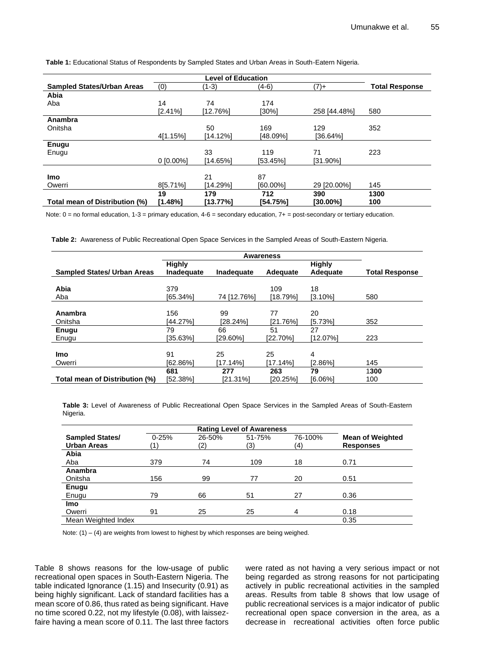**Table 1:** Educational Status of Respondents by Sampled States and Urban Areas in South-Eatern Nigeria.

| <b>Sampled States/Urban Areas</b> | (0)        | (1-3)    | (4-6)    | $(7) +$      | <b>Total Response</b> |
|-----------------------------------|------------|----------|----------|--------------|-----------------------|
| Abia                              |            |          |          |              |                       |
| Aba                               | 14         | 74       | 174      |              |                       |
|                                   | [2.41%]    | [12.76%] | [30%]    | 258 [44.48%] | 580                   |
| Anambra                           |            |          |          |              |                       |
| Onitsha                           |            | 50       | 169      | 129          | 352                   |
|                                   | 4[1.15%]   | [14.12%] | [48.09%] | [36.64%]     |                       |
| <b>Enugu</b>                      |            |          |          |              |                       |
| Enugu                             |            | 33       | 119      | 71           | 223                   |
|                                   | $0.00\%$ ] | [14.65%] | [53.45%] | [31.90%]     |                       |
|                                   |            |          |          |              |                       |
| <b>Imo</b>                        |            | 21       | 87       |              |                       |
| Owerri                            | 8[5.71%]   | [14.29%] | 160.00%  | 29 [20,00%]  | 145                   |
|                                   | 19         | 179      | 712      | 390          | 1300                  |
| Total mean of Distribution (%)    | [1.48%]    | [13.77%] | [54.75%] | [30.00%]     | 100                   |

Note:  $0 =$  no formal education,  $1-3 =$  primary education,  $4-6 =$  secondary education,  $7+ =$  post-secondary or tertiary education.

**Table 2:** Awareness of Public Recreational Open Space Services in the Sampled Areas of South-Eastern Nigeria.

|                                    | Awareness     |             |          |               |                       |  |  |  |  |  |
|------------------------------------|---------------|-------------|----------|---------------|-----------------------|--|--|--|--|--|
|                                    | <b>Highly</b> |             |          | <b>Highly</b> |                       |  |  |  |  |  |
| <b>Sampled States/ Urban Areas</b> | Inadequate    | Inadequate  | Adequate | Adequate      | <b>Total Response</b> |  |  |  |  |  |
|                                    |               |             |          |               |                       |  |  |  |  |  |
| Abia                               | 379           |             | 109      | 18            |                       |  |  |  |  |  |
| Aba                                | [65.34%]      | 74 [12.76%] | [18.79%] | $[3.10\%]$    | 580                   |  |  |  |  |  |
|                                    |               |             |          |               |                       |  |  |  |  |  |
| Anambra                            | 156           | 99          | 77       | 20            |                       |  |  |  |  |  |
| Onitsha                            | [44.27%]      | [28.24%]    | [21.76%] | [5.73%]       | 352                   |  |  |  |  |  |
| Enugu                              | 79            | 66          | 51       | 27            |                       |  |  |  |  |  |
| Enugu                              | [35.63%]      | 129.60%     | [22.70%] | [12.07%]      | 223                   |  |  |  |  |  |
|                                    |               |             |          |               |                       |  |  |  |  |  |
| <b>Imo</b>                         | 91            | 25          | 25       | 4             |                       |  |  |  |  |  |
| Owerri                             | [62.86%]      | 17.14%1     | [17.14%] | [2.86%]       | 145                   |  |  |  |  |  |
|                                    | 681           | 277         | 263      | 79            | 1300                  |  |  |  |  |  |
| Total mean of Distribution (%)     | [52.38%]      | [21.31%]    | [20.25%] | [6.06%]       | 100                   |  |  |  |  |  |

**Table 3:** Level of Awareness of Public Recreational Open Space Services in the Sampled Areas of South-Eastern Nigeria.

| <b>Sampled States/</b> | $0 - 25%$ | 26-50% | 51-75% | 76-100% | <b>Mean of Weighted</b> |
|------------------------|-----------|--------|--------|---------|-------------------------|
| <b>Urban Areas</b>     |           | (2)    | (3)    | (4)     | <b>Responses</b>        |
| Abia                   |           |        |        |         |                         |
| Aba                    | 379       | 74     | 109    | 18      | 0.71                    |
| Anambra                |           |        |        |         |                         |
| Onitsha                | 156       | 99     | 77     | 20      | 0.51                    |
| Enugu                  |           |        |        |         |                         |
| Enugu                  | 79        | 66     | 51     | 27      | 0.36                    |
| <b>Imo</b>             |           |        |        |         |                         |
| Owerri                 | 91        | 25     | 25     | 4       | 0.18                    |
| Mean Weighted Index    |           |        |        |         | 0.35                    |

Note:  $(1) - (4)$  are weights from lowest to highest by which responses are being weighed.

Table 8 shows reasons for the low-usage of public recreational open spaces in South-Eastern Nigeria. The table indicated Ignorance (1.15) and Insecurity (0.91) as being highly significant. Lack of standard facilities has a mean score of 0.86, thus rated as being significant. Have no time scored 0.22, not my lifestyle (0.08), with laissezfaire having a mean score of 0.11. The last three factors were rated as not having a very serious impact or not being regarded as strong reasons for not participating actively in public recreational activities in the sampled areas. Results from table 8 shows that low usage of public recreational services is a major indicator of public recreational open space conversion in the area, as a decrease in recreational activities often force public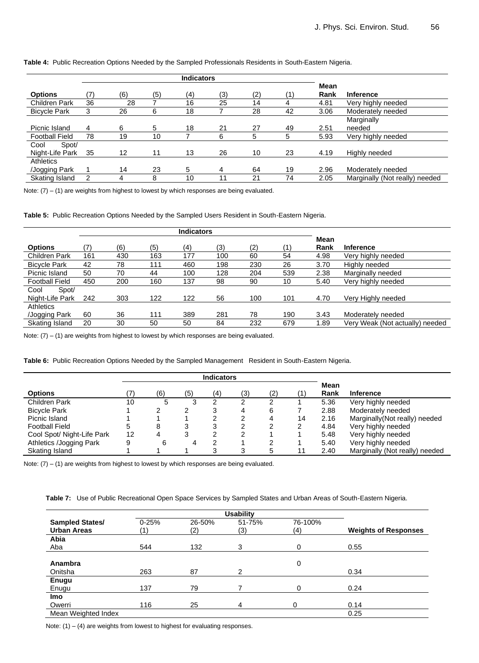|                       |    |     |     | <b>Indicators</b> |     |     |     |      |                                |
|-----------------------|----|-----|-----|-------------------|-----|-----|-----|------|--------------------------------|
|                       |    |     |     |                   |     |     |     | Mean |                                |
| <b>Options</b>        |    | (6) | (5) | (4)               | (3) | (2) | (1) | Rank | <b>Inference</b>               |
| Children Park         | 36 | 28  |     | 16                | 25  | 14  | 4   | 4.81 | Very highly needed             |
| <b>Bicycle Park</b>   | 3  | 26  | 6   | 18                |     | 28  | 42  | 3.06 | Moderately needed              |
|                       |    |     |     |                   |     |     |     |      | Marginally                     |
| Picnic Island         | 4  | 6   | 5   | 18                | 21  | 27  | 49  | 2.51 | needed                         |
| <b>Football Field</b> | 78 | 19  | 10  |                   | 6   | 5   | 5   | 5.93 | Very highly needed             |
| Spot/<br>Cool         |    |     |     |                   |     |     |     |      |                                |
| Night-Life Park       | 35 | 12  | 11  | 13                | 26  | 10  | 23  | 4.19 | Highly needed                  |
| <b>Athletics</b>      |    |     |     |                   |     |     |     |      |                                |
| /Jogging Park         |    | 14  | 23  | 5                 | 4   | 64  | 19  | 2.96 | Moderately needed              |
| Skating Island        | 2  | 4   | 8   | 10                | 11  | 21  | 74  | 2.05 | Marginally (Not really) needed |

Note:  $(7) - (1)$  are weights from highest to lowest by which responses are being evaluated.

**Table 5:** Public Recreation Options Needed by the Sampled Users Resident in South-Eastern Nigeria.

|                       | <b>Indicators</b> |     |     |     |     |     |     |      |                                 |
|-----------------------|-------------------|-----|-----|-----|-----|-----|-----|------|---------------------------------|
|                       |                   |     |     |     |     |     |     | Mean |                                 |
| <b>Options</b>        | 7)                | (6) | (5) | (4) | (3) | (2) | (1) | Rank | <b>Inference</b>                |
| <b>Children Park</b>  | 161               | 430 | 163 | 177 | 100 | 60  | 54  | 4.98 | Very highly needed              |
| <b>Bicycle Park</b>   | 42                | 78  | 111 | 460 | 198 | 230 | 26  | 3.70 | Highly needed                   |
| Picnic Island         | 50                | 70  | 44  | 100 | 128 | 204 | 539 | 2.38 | Marginally needed               |
| <b>Football Field</b> | 450               | 200 | 160 | 137 | 98  | 90  | 10  | 5.40 | Very highly needed              |
| Spot/<br>Cool         |                   |     |     |     |     |     |     |      |                                 |
| Night-Life Park       | 242               | 303 | 122 | 122 | 56  | 100 | 101 | 4.70 | Very Highly needed              |
| <b>Athletics</b>      |                   |     |     |     |     |     |     |      |                                 |
| /Jogging Park         | 60                | 36  | 111 | 389 | 281 | 78  | 190 | 3.43 | Moderately needed               |
| Skating Island        | 20                | 30  | 50  | 50  | 84  | 232 | 679 | 1.89 | Very Weak (Not actually) needed |

Note:  $(7) - (1)$  are weights from highest to lowest by which responses are being evaluated.

**Table 6:** Public Recreation Options Needed by the Sampled Management Resident in South-Eastern Nigeria.

|                            | <b>Indicators</b> |     |     |     |     |     |    |              |                                |
|----------------------------|-------------------|-----|-----|-----|-----|-----|----|--------------|--------------------------------|
| <b>Options</b>             |                   | (6) | (5) | (4) | (3) | (2) | (1 | Mean<br>Rank | <b>Inference</b>               |
| Children Park              | 10                | 5   |     |     |     |     |    | 5.36         | Very highly needed             |
| <b>Bicycle Park</b>        |                   |     | ⌒   | 3   | 4   | 6   |    | 2.88         | Moderately needed              |
| Picnic Island              |                   |     |     | ົ   | 2   |     | 14 | 2.16         | Marginally (Not really) needed |
| <b>Football Field</b>      | 5                 | 8   | 3   | 3   | 2   |     | 2  | 4.84         | Very highly needed             |
| Cool Spot/ Night-Life Park | 12                |     | 3   | ົ   | 2   |     |    | 5.48         | Very highly needed             |
| Athletics /Jogging Park    | 9                 | 6   |     | ົ   |     |     |    | 5.40         | Very highly needed             |
| Skating Island             |                   |     |     | ົ   | 3   |     | 11 | 2.40         | Marginally (Not really) needed |

Note:  $(7) - (1)$  are weights from highest to lowest by which responses are being evaluated.

**Table 7:** Use of Public Recreational Open Space Services by Sampled States and Urban Areas of South-Eastern Nigeria.

|                        |           | <b>Usability</b> |               |         |                             |
|------------------------|-----------|------------------|---------------|---------|-----------------------------|
| <b>Sampled States/</b> | $0 - 25%$ | 26-50%           | 51-75%        | 76-100% |                             |
| <b>Urban Areas</b>     |           | (2)              | (3)           | (4)     | <b>Weights of Responses</b> |
| Abia                   |           |                  |               |         |                             |
| Aba                    | 544       | 132              | 3             | 0       | 0.55                        |
|                        |           |                  |               |         |                             |
| Anambra                |           |                  |               | 0       |                             |
| Onitsha                | 263       | 87               | $\mathcal{P}$ |         | 0.34                        |
| <b>Enugu</b>           |           |                  |               |         |                             |
| Enugu                  | 137       | 79               |               | 0       | 0.24                        |
| <b>Imo</b>             |           |                  |               |         |                             |
| Owerri                 | 116       | 25               | 4             | 0       | 0.14                        |
| Mean Weighted Index    |           |                  |               |         | 0.25                        |

Note:  $(1) - (4)$  are weights from lowest to highest for evaluating responses.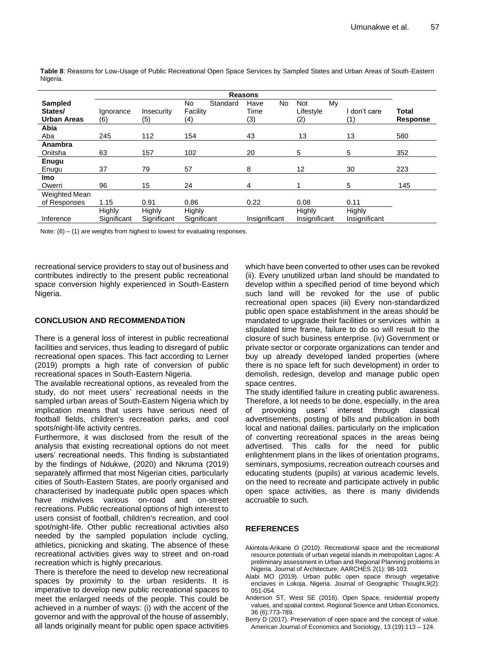**Sampled States/ Urban Areas Reasons Total Response** Ignorance (6) Insecurity (5) No Standard Facility (4) Have No Time (3) Not My Lifestyle (2) I don't care (1) **Abia**  Aba 245 112 154 43 13 13 580 **Anambra**  Onitsha 63 157 102 20 5 5 352 **Enugu** Enugu 37 79 57 8 12 30 223 **Imo** Owerri 96 15 24 4 1 5 145 Weighted Mean of Responses 1.15 0.91 0.86 0.22 0.08 0.11 Inference **Highly Significant Highly Significant Highly** Significant Insignificant **Highly** Insignificant **Highly** Insignificant

**Table 8**: Reasons for Low-Usage of Public Recreational Open Space Services by Sampled States and Urban Areas of South-Eastern Nigeria.

Note:  $(6) - (1)$  are weights from highest to lowest for evaluating responses.

recreational service providers to stay out of business and contributes indirectly to the present public recreational space conversion highly experienced in South-Eastern Nigeria.

## **CONCLUSION AND RECOMMENDATION**

There is a general loss of interest in public recreational facilities and services, thus leading to disregard of public recreational open spaces. This fact according to Lerner (2019) prompts a high rate of conversion of public recreational spaces in South-Eastern Nigeria.

The available recreational options, as revealed from the study, do not meet users' recreational needs in the sampled urban areas of South-Eastern Nigeria which by implication means that users have serious need of football fields, children's recreation parks, and cool spots/night-life activity centres.

Furthermore, it was disclosed from the result of the analysis that existing recreational options do not meet users' recreational needs. This finding is substantiated by the findings of Ndukwe, (2020) and Nkruma (2019) separately affirmed that most Nigerian cities, particularly cities of South-Eastern States, are poorly organised and characterised by inadequate public open spaces which have midwives various on-road and on-street recreations. Public recreational options of high interest to users consist of football, children's recreation, and cool spot/night-life. Other public recreational activities also needed by the sampled population include cycling, athletics, picnicking and skating. The absence of these recreational activities gives way to street and on-road recreation which is highly precarious.

There is therefore the need to develop new recreational spaces by proximity to the urban residents. It is imperative to develop new public recreational spaces to meet the enlarged needs of the people. This could be achieved in a number of ways: (i) with the accent of the governor and with the approval of the house of assembly, all lands originally meant for public open space activities

which have been converted to other uses can be revoked (ii). Every unutilized urban land should be mandated to develop within a specified period of time beyond which such land will be revoked for the use of public recreational open spaces (iii) Every non-standardized public open space establishment in the areas should be mandated to upgrade their facilities or services within a stipulated time frame, failure to do so will result to the closure of such business enterprise. (iv) Government or private sector or corporate organizations can tender and buy up already developed landed properties (where there is no space left for such development) in order to demolish, redesign, develop and manage public open space centres.

The study identified failure in creating public awareness. Therefore, a lot needs to be done, especially, in the area of provoking users' interest through classical advertisements, posting of bills and publication in both local and national dailies, particularly on the implication of converting recreational spaces in the areas being advertised. This calls for the need for public enlightenment plans in the likes of orientation programs, seminars, symposiums, recreation outreach courses and educating students (pupils) at various academic levels, on the need to recreate and participate actively in public open space activities, as there is many dividends accruable to such.

#### **REFERENCES**

- Akintola-Arikane O (2010). Recreational space and the recreational resource potentials of urban vegetal islands in metropolitan Lagos: A preliminary assessment in Urban and Regional Planning problems in Nigeria. Journal of Architecture, AARCHES 2(1): 98-103.
- Alabi MO (2019). Urban public open space through vegetative enclaves in Lokoja, Nigeria. Journal of Geographic Thought,9(2): 051-054.
- Anderson ST, West SE (2016). Open Space, residential property values, and spatial context. Regional Science and Urban Economics, 36 (6):773-789.
- Berry D (2017). Preservation of open space and the concept of value. American Journal of Economics and Sociology, 13 (19):113 – 124.